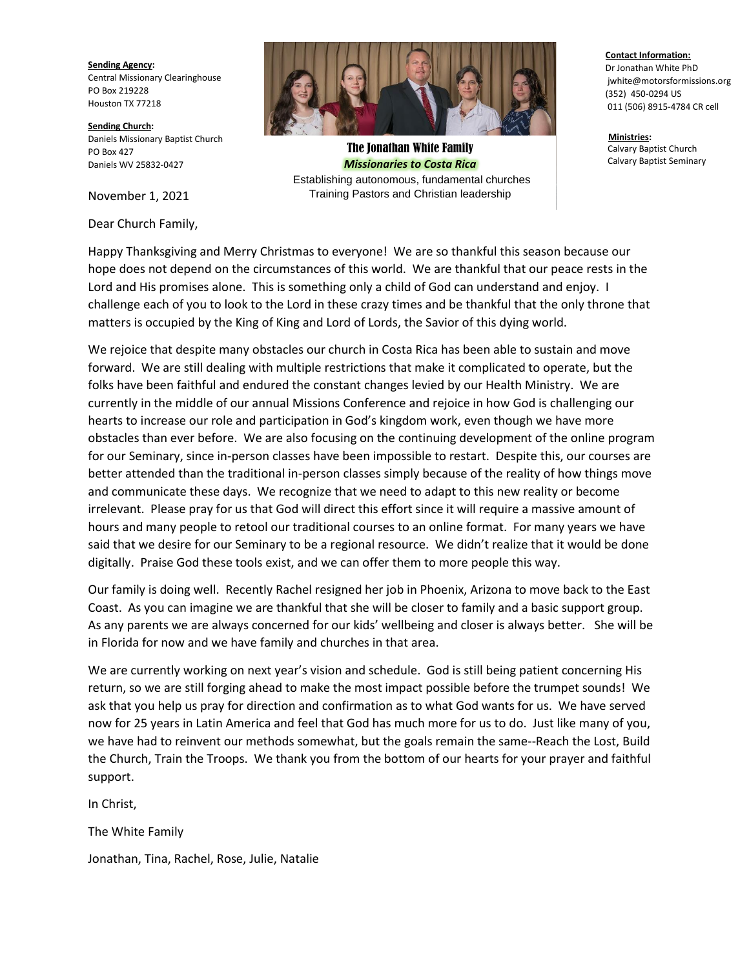**Sending Agency:** Central Missionary Clearinghouse PO Box 219228 Houston TX 77218

**Sending Church:** Daniels Missionary Baptist Church PO Box 427 Daniels WV 25832-0427

Dear Church Family,



The Jonathan White Family *Missionaries to Costa Rica* Establishing autonomous, fundamental churches

November 1, 2021 Training Pastors and Christian leadership

## **Contact Information:**

Dr Jonathan White PhD jwhite@motorsformissions.org (352) 450-0294 US 011 (506) 8915-4784 CR cell

**Ministries:** Calvary Baptist Church Calvary Baptist Seminary

Happy Thanksgiving and Merry Christmas to everyone! We are so thankful this season because our hope does not depend on the circumstances of this world. We are thankful that our peace rests in the Lord and His promises alone. This is something only a child of God can understand and enjoy. I challenge each of you to look to the Lord in these crazy times and be thankful that the only throne that matters is occupied by the King of King and Lord of Lords, the Savior of this dying world.

We rejoice that despite many obstacles our church in Costa Rica has been able to sustain and move forward. We are still dealing with multiple restrictions that make it complicated to operate, but the folks have been faithful and endured the constant changes levied by our Health Ministry. We are currently in the middle of our annual Missions Conference and rejoice in how God is challenging our hearts to increase our role and participation in God's kingdom work, even though we have more obstacles than ever before. We are also focusing on the continuing development of the online program for our Seminary, since in-person classes have been impossible to restart. Despite this, our courses are better attended than the traditional in-person classes simply because of the reality of how things move and communicate these days. We recognize that we need to adapt to this new reality or become irrelevant. Please pray for us that God will direct this effort since it will require a massive amount of hours and many people to retool our traditional courses to an online format. For many years we have said that we desire for our Seminary to be a regional resource. We didn't realize that it would be done digitally. Praise God these tools exist, and we can offer them to more people this way.

Our family is doing well. Recently Rachel resigned her job in Phoenix, Arizona to move back to the East Coast. As you can imagine we are thankful that she will be closer to family and a basic support group. As any parents we are always concerned for our kids' wellbeing and closer is always better. She will be in Florida for now and we have family and churches in that area.

We are currently working on next year's vision and schedule. God is still being patient concerning His return, so we are still forging ahead to make the most impact possible before the trumpet sounds! We ask that you help us pray for direction and confirmation as to what God wants for us. We have served now for 25 years in Latin America and feel that God has much more for us to do. Just like many of you, we have had to reinvent our methods somewhat, but the goals remain the same--Reach the Lost, Build the Church, Train the Troops. We thank you from the bottom of our hearts for your prayer and faithful support.

In Christ,

The White Family

Jonathan, Tina, Rachel, Rose, Julie, Natalie